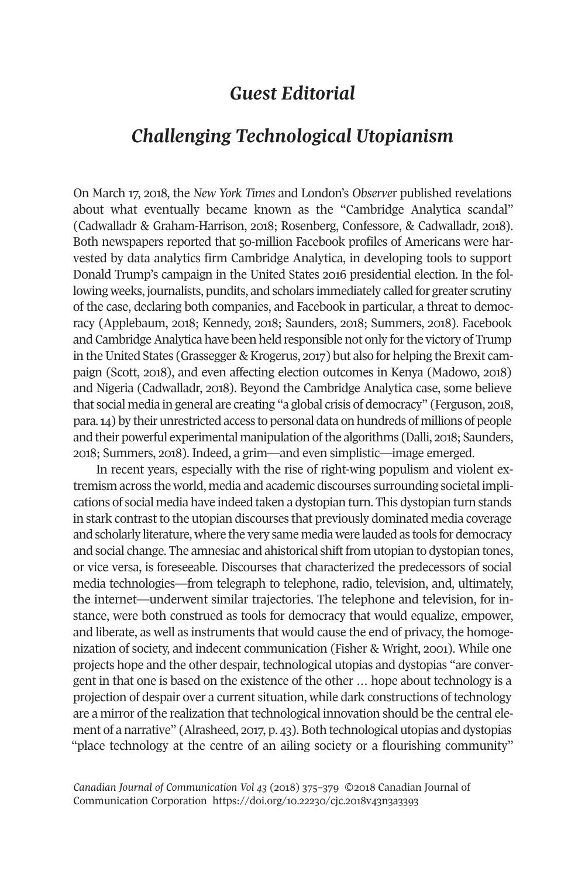## *Guest Editorial*

# *Challenging Technological Utopianism*

On March 17, 2018, the *New York Times* and London's *Observe*r published revelations about what eventually became known as the "Cambridge Analytica scandal" (Cadwalladr & Graham-Harrison, 2018; Rosenberg, Confessore, & Cadwalladr, 2018). Both newspapers reported that 50-million Facebook profiles of Americans were harvested by data analytics firm Cambridge Analytica, in developing tools to support Donald Trump's campaign in the United States 2016 presidential election. In the following weeks, journalists, pundits, and scholars immediately called for greater scrutiny of the case, declaring both companies, and Facebook in particular, a threat to democracy (Applebaum, 2018; Kennedy, 2018; Saunders, 2018; Summers, 2018). Facebook and Cambridge Analytica have been held responsible not only for the victory of Trump in the United States (Grassegger & Krogerus, 2017) but also for helping the Brexit campaign (Scott, 2018), and even affecting election outcomes in Kenya (Madowo, 2018) and Nigeria (Cadwalladr, 2018). Beyond the Cambridge Analytica case, some believe that social media in general are creating "a global crisis of democracy" (Ferguson, 2018, para.14) by their unrestricted access to personal data on hundreds of millions of people and their powerful experimental manipulation of the algorithms (Dalli, 2018; Saunders, 2018; Summers, 2018). Indeed, a grim—and even simplistic—image emerged.

In recent years, especially with the rise of right-wing populism and violent extremism across the world, media and academic discourses surrounding societal implications of social media have indeed taken a dystopian turn. This dystopian turn stands in stark contrast to the utopian discourses that previously dominated media coverage and scholarly literature, where the very same media were lauded as tools for democracy and social change. The amnesiac and ahistorical shift from utopian to dystopian tones, or vice versa, is foreseeable. Discourses that characterized the predecessors of social media technologies—from telegraph to telephone, radio, television, and, ultimately, the internet—underwent similar trajectories. The telephone and television, for instance, were both construed as tools for democracy that would equalize, empower, and liberate, as well as instruments that would cause the end of privacy, the homogenization of society, and indecent communication (Fisher & Wright, 2001). While one projects hope and the other despair, technological utopias and dystopias "are convergent in that one is based on the existence of the other … hope about technology is a projection of despair over a current situation, while dark constructions of technology are a mirror of the realization that technological innovation should be the central element of a narrative" (Alrasheed, 2017, p. 43). Both technological utopias and dystopias "place technology at the centre of an ailing society or a flourishing community"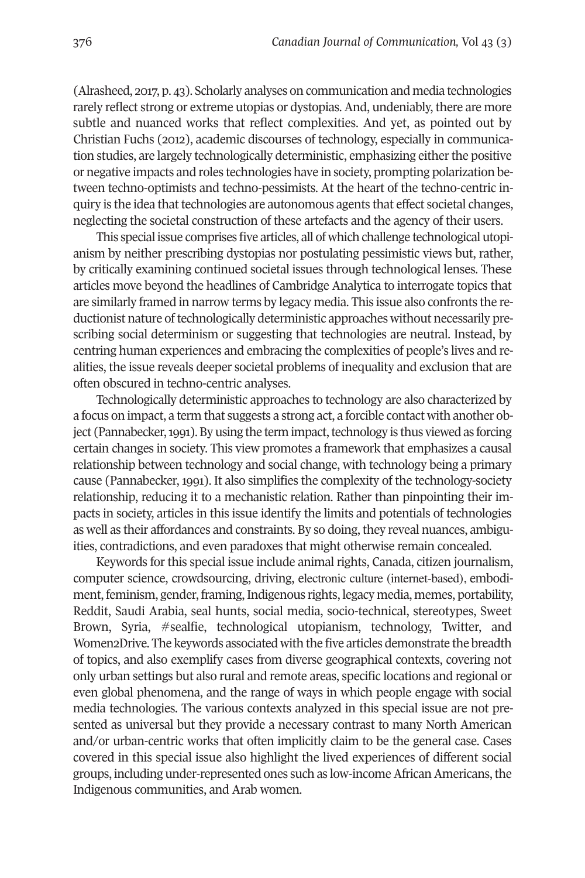(Alrasheed, 2017, p. 43). Scholarly analyses on communication and media technologies rarely reflect strong or extreme utopias or dystopias. And, undeniably, there are more subtle and nuanced works that reflect complexities. And yet, as pointed out by Christian Fuchs (2012), academic discourses of technology, especially in communication studies, are largely technologically deterministic, emphasizing either the positive or negative impacts and roles technologies have in society, prompting polarization between techno-optimists and techno-pessimists. At the heart of the techno-centric inquiry is the idea that technologies are autonomous agents that effect societal changes, neglecting the societal construction of these artefacts and the agency of their users.

This special issue comprises five articles, all of which challenge technological utopianism by neither prescribing dystopias nor postulating pessimistic views but, rather, by critically examining continued societal issues through technological lenses. These articles move beyond the headlines of Cambridge Analytica to interrogate topics that are similarly framed in narrow terms by legacy media. This issue also confronts the reductionist nature of technologically deterministic approaches without necessarily prescribing social determinism or suggesting that technologies are neutral. Instead, by centring human experiences and embracing the complexities of people's lives and realities, the issue reveals deeper societal problems of inequality and exclusion that are often obscured in techno-centric analyses.

Technologically deterministic approaches to technology are also characterized by a focus on impact, a term that suggests a strong act, a forcible contact with another object (Pannabecker, 1991). By using the term impact, technology is thus viewed as forcing certain changes in society. This view promotes a framework that emphasizes a causal relationship between technology and social change, with technology being a primary cause (Pannabecker, 1991). It also simplifies the complexity of the technology-society relationship, reducing it to a mechanistic relation. Rather than pinpointing their impacts in society, articles in this issue identify the limits and potentials of technologies as well as their affordances and constraints. By so doing, they reveal nuances, ambiguities, contradictions, and even paradoxes that might otherwise remain concealed.

Keywords for this special issue include animal rights, Canada, citizen journalism, computer science, crowdsourcing, driving, electronic culture (internet-based), embodiment, feminism, gender, framing, Indigenous rights, legacy media, memes, portability, Reddit, Saudi Arabia, seal hunts, social media, socio-technical, stereotypes, Sweet Brown, Syria, #sealfie, technological utopianism, technology, Twitter, and Women2Drive. The keywords associated with the five articles demonstrate the breadth of topics, and also exemplify cases from diverse geographical contexts, covering not only urban settings but also rural and remote areas, specific locations and regional or even global phenomena, and the range of ways in which people engage with social media technologies. The various contexts analyzed in this special issue are not presented as universal but they provide a necessary contrast to many North American and/or urban-centric works that often implicitly claim to be the general case. Cases covered in this special issue also highlight the lived experiences of different social groups, including under-represented ones such as low-income African Americans, the Indigenous communities, and Arab women.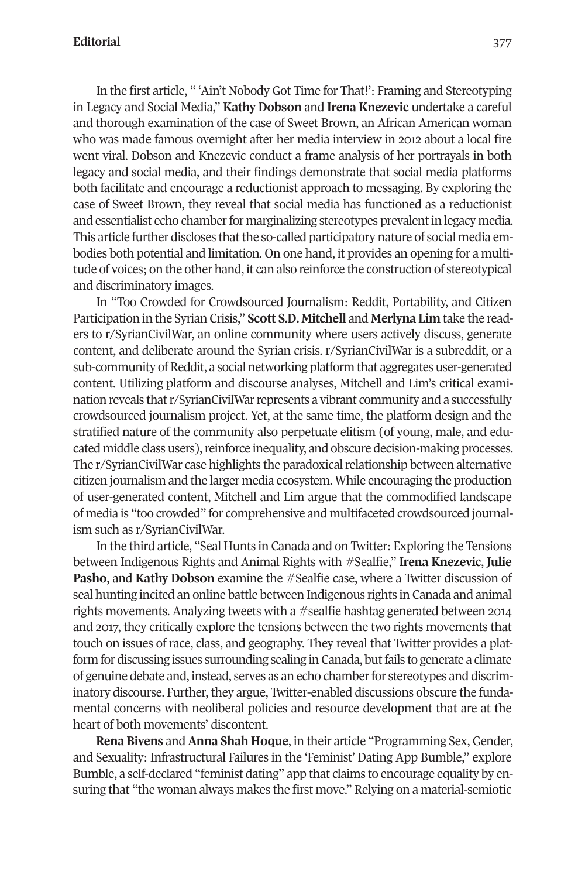#### **Editorial** 377

In the first article, " 'Ain't Nobody Got Time for That!': Framing and Stereotyping in Legacy and Social Media," **Kathy Dobson** and **Irena Knezevic** undertake a careful and thorough examination of the case of Sweet Brown, an African American woman who was made famous overnight after her media interview in 2012 about a local fire went viral. Dobson and Knezevic conduct a frame analysis of her portrayals in both legacy and social media, and their findings demonstrate that social media platforms both facilitate and encourage a reductionist approach to messaging. By exploring the case of Sweet Brown, they reveal that social media has functioned as a reductionist and essentialist echo chamber for marginalizing stereotypes prevalent in legacy media. This article further discloses that the so-called participatory nature of social media embodies both potential and limitation. On one hand, it provides an opening for a multitude of voices; on the other hand, it can also reinforce the construction of stereotypical and discriminatory images.

In "Too Crowded for Crowdsourced Journalism: Reddit, Portability, and Citizen Participation in the Syrian Crisis," **Scott S.D. Mitchell** and **Merlyna Lim** take the readers to r/SyrianCivilWar, an online community where users actively discuss, generate content, and deliberate around the Syrian crisis. r/SyrianCivilWar is a subreddit, or a sub-community of Reddit, a social networking platform that aggregates user-generated content. Utilizing platform and discourse analyses, Mitchell and Lim's critical examination reveals that r/SyrianCivilWar represents a vibrant community and a successfully crowdsourced journalism project. Yet, at the same time, the platform design and the stratified nature of the community also perpetuate elitism (of young, male, and educated middle class users), reinforce inequality, and obscure decision-making processes. The r/SyrianCivilWar case highlights the paradoxical relationship between alternative citizen journalism and the larger media ecosystem. While encouraging the production of user-generated content, Mitchell and Lim argue that the commodified landscape of media is "too crowded" for comprehensive and multifaceted crowdsourced journalism such as r/SyrianCivilWar.

In the third article, "Seal Hunts in Canada and on Twitter: Exploring the Tensions between Indigenous Rights and Animal Rights with #Sealfie," **Irena Knezevic**, **Julie Pasho**, and **Kathy Dobson** examine the #Sealfie case, where a Twitter discussion of seal hunting incited an online battle between Indigenous rights in Canada and animal rights movements. Analyzing tweets with a #sealfie hashtag generated between 2014 and 2017, they critically explore the tensions between the two rights movements that touch on issues of race, class, and geography. They reveal that Twitter provides a platform for discussing issues surrounding sealing in Canada, but fails to generate a climate of genuine debate and, instead, serves as an echo chamberfor stereotypes and discriminatory discourse. Further, they argue, Twitter-enabled discussions obscure the fundamental concerns with neoliberal policies and resource development that are at the heart of both movements' discontent.

**Rena Bivens** and**Anna Shah Hoque**, in their article "Programming Sex, Gender, and Sexuality: Infrastructural Failures in the 'Feminist' Dating App Bumble," explore Bumble, a self-declared "feminist dating" app that claims to encourage equality by ensuring that "the woman always makes the first move." Relying on a material-semiotic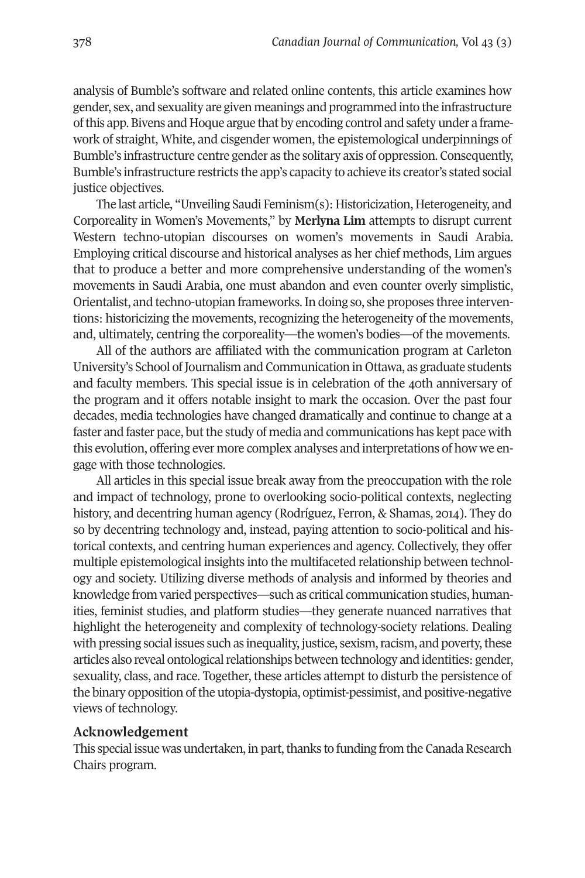analysis of Bumble's software and related online contents, this article examines how gender, sex, and sexuality are given meanings and programmed into the infrastructure ofthis app. Bivens and Hoque argue that by encoding control and safety under a framework of straight, White, and cisgender women, the epistemological underpinnings of Bumble's infrastructure centre gender as the solitary axis of oppression. Consequently, Bumble's infrastructure restricts the app's capacity to achieve its creator's stated social justice objectives.

The last article, "Unveiling Saudi Feminism(s): Historicization, Heterogeneity, and Corporeality in Women's Movements," by **Merlyna Lim** attempts to disrupt current Western techno-utopian discourses on women's movements in Saudi Arabia. Employing critical discourse and historical analyses as her chief methods, Lim argues that to produce a better and more comprehensive understanding of the women's movements in Saudi Arabia, one must abandon and even counter overly simplistic, Orientalist, and techno-utopian frameworks.In doing so, she proposes three interventions: historicizing the movements, recognizing the heterogeneity of the movements, and, ultimately, centring the corporeality—the women's bodies—of the movements.

All of the authors are affiliated with the communication program at Carleton University's School ofJournalism and Communication in Ottawa, as graduate students and faculty members. This special issue is in celebration of the 40th anniversary of the program and it offers notable insight to mark the occasion. Over the past four decades, media technologies have changed dramatically and continue to change at a faster and faster pace, but the study of media and communications has kept pace with this evolution, offering ever more complex analyses and interpretations of how we engage with those technologies.

All articles in this special issue break away from the preoccupation with the role and impact of technology, prone to overlooking socio-political contexts, neglecting history, and decentring human agency (Rodríguez, Ferron, & Shamas, 2014). They do so by decentring technology and, instead, paying attention to socio-political and historical contexts, and centring human experiences and agency. Collectively, they offer multiple epistemological insights into the multifaceted relationship between technology and society. Utilizing diverse methods of analysis and informed by theories and knowledge from varied perspectives—such as critical communication studies, humanities, feminist studies, and platform studies—they generate nuanced narratives that highlight the heterogeneity and complexity of technology-society relations. Dealing with pressing social issues such as inequality, justice, sexism, racism, and poverty, these articles also reveal ontological relationships between technology and identities: gender, sexuality, class, and race. Together, these articles attempt to disturb the persistence of the binary opposition of the utopia-dystopia, optimist-pessimist, and positive-negative views of technology.

### **Acknowledgement**

This special issue was undertaken, in part, thanks to funding from the Canada Research Chairs program.